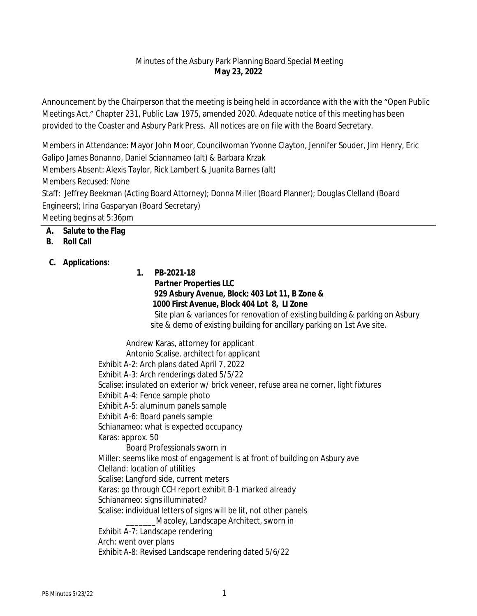## Minutes of the Asbury Park Planning Board Special Meeting **May 23, 2022**

Announcement by the Chairperson that the meeting is being held in accordance with the with the "Open Public Meetings Act," Chapter 231, Public Law 1975, amended 2020. Adequate notice of this meeting has been provided to the Coaster and Asbury Park Press. All notices are on file with the Board Secretary.

Members in Attendance: Mayor John Moor, Councilwoman Yvonne Clayton, Jennifer Souder, Jim Henry, Eric Galipo James Bonanno, Daniel Sciannameo (alt) & Barbara Krzak Members Absent: Alexis Taylor, Rick Lambert & Juanita Barnes (alt) Members Recused: None Staff: Jeffrey Beekman (Acting Board Attorney); Donna Miller (Board Planner); Douglas Clelland (Board Engineers); Irina Gasparyan (Board Secretary) Meeting begins at 5:36pm

## **A. Salute to the Flag**

### **B. Roll Call**

### **C. Applications:**

**1. PB-2021-18 Partner Properties LLC 929 Asbury Avenue, Block: 403 Lot 11, B Zone & 1000 First Avenue, Block 404 Lot 8, LI Zone** Site plan & variances for renovation of existing building & parking on Asbury site & demo of existing building for ancillary parking on 1st Ave site.

Andrew Karas, attorney for applicant Antonio Scalise, architect for applicant Exhibit A-2: Arch plans dated April 7, 2022 Exhibit A-3: Arch renderings dated 5/5/22 Scalise: insulated on exterior w/ brick veneer, refuse area ne corner, light fixtures Exhibit A-4: Fence sample photo Exhibit A-5: aluminum panels sample Exhibit A-6: Board panels sample Schianameo: what is expected occupancy Karas: approx. 50 Board Professionals sworn in Miller: seems like most of engagement is at front of building on Asbury ave Clelland: location of utilities Scalise: Langford side, current meters Karas: go through CCH report exhibit B-1 marked already Schianameo: signs illuminated? Scalise: individual letters of signs will be lit, not other panels \_\_\_\_\_\_\_Macoley, Landscape Architect, sworn in Exhibit A-7: Landscape rendering Arch: went over plans Exhibit A-8: Revised Landscape rendering dated 5/6/22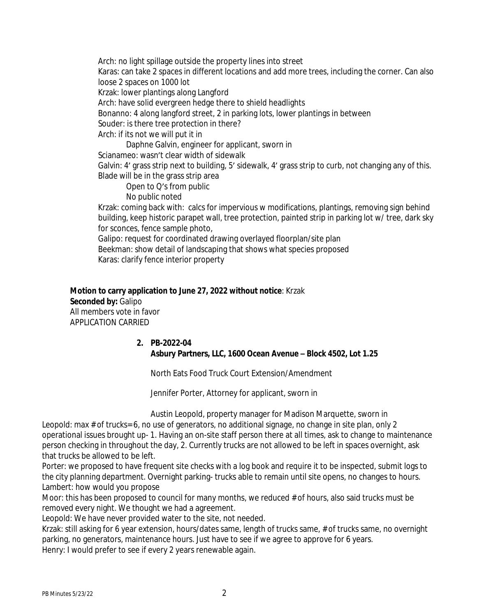Arch: no light spillage outside the property lines into street Karas: can take 2 spaces in different locations and add more trees, including the corner. Can also loose 2 spaces on 1000 lot Krzak: lower plantings along Langford Arch: have solid evergreen hedge there to shield headlights Bonanno: 4 along langford street, 2 in parking lots, lower plantings in between Souder: is there tree protection in there? Arch: if its not we will put it in Daphne Galvin, engineer for applicant, sworn in Scianameo: wasn't clear width of sidewalk Galvin: 4' grass strip next to building, 5' sidewalk, 4' grass strip to curb, not changing any of this. Blade will be in the grass strip area Open to Q's from public No public noted Krzak: coming back with: calcs for impervious w modifications, plantings, removing sign behind building, keep historic parapet wall, tree protection, painted strip in parking lot w/ tree, dark sky for sconces, fence sample photo, Galipo: request for coordinated drawing overlayed floorplan/site plan Beekman: show detail of landscaping that shows what species proposed Karas: clarify fence interior property

**Motion to carry application to June 27, 2022 without notice**: Krzak **Seconded by:** Galipo All members vote in favor APPLICATION CARRIED

#### **2. PB-2022-04 Asbury Partners, LLC, 1600 Ocean Avenue – Block 4502, Lot 1.25**

North Eats Food Truck Court Extension/Amendment

Jennifer Porter, Attorney for applicant, sworn in

Austin Leopold, property manager for Madison Marquette, sworn in

Leopold: max # of trucks= 6, no use of generators, no additional signage, no change in site plan, only 2 operational issues brought up- 1. Having an on-site staff person there at all times, ask to change to maintenance person checking in throughout the day, 2. Currently trucks are not allowed to be left in spaces overnight, ask that trucks be allowed to be left.

Porter: we proposed to have frequent site checks with a log book and require it to be inspected, submit logs to the city planning department. Overnight parking- trucks able to remain until site opens, no changes to hours. Lambert: how would you propose

Moor: this has been proposed to council for many months, we reduced # of hours, also said trucks must be removed every night. We thought we had a agreement.

Leopold: We have never provided water to the site, not needed.

Krzak: still asking for 6 year extension, hours/dates same, length of trucks same, # of trucks same, no overnight parking, no generators, maintenance hours. Just have to see if we agree to approve for 6 years. Henry: I would prefer to see if every 2 years renewable again.